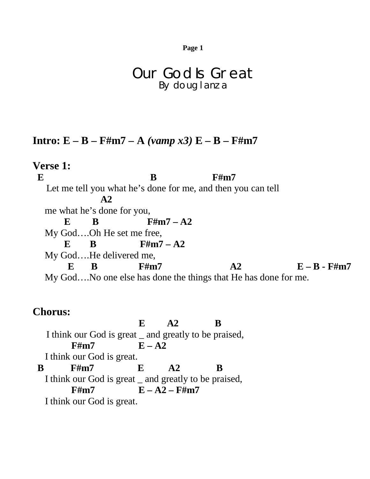**Page 1**

## Our God Is Great By doug lanza

## **Intro: E – B – F#m7 – A** *(vamp x3)* **E – B – F#m7**

**Verse 1: E** B F#m7 Let me tell you what he's done for me, and then you can tell  **A2** me what he's done for you,  $E$  B F#m7 – A2 My God….Oh He set me free,  $E$  B F#m7 – A2 My God….He delivered me,  $E$  B F#m7  $A2$   $E - B - F$ #m7 My God….No one else has done the things that He has done for me.

## **Chorus:**

**E A2 B** I think our God is great \_ and greatly to be praised,  $F#m7$   $E - A2$  I think our God is great.  **B F#m7 E A2 B** I think our God is great \_ and greatly to be praised,  $F#m7$   $E - A2 - F#m7$ I think our God is great.